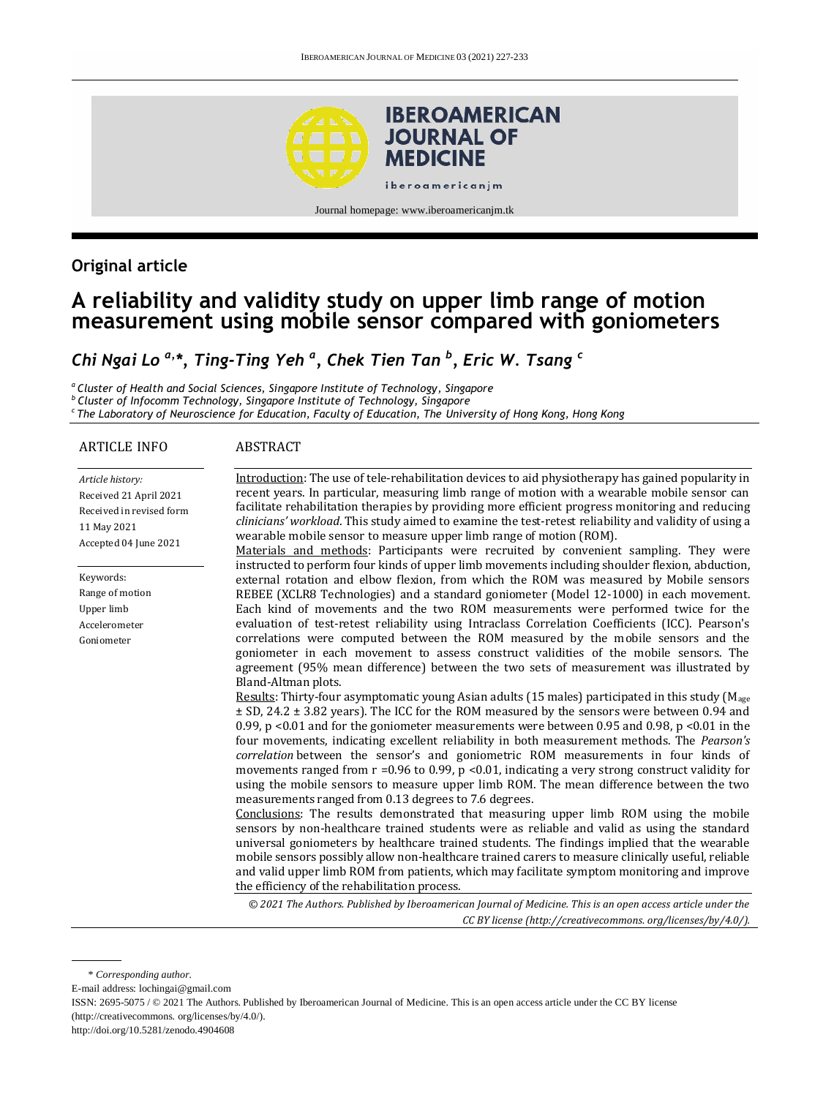

## **Original article**

# **A reliability and validity study on upper limb range of motion measurement using mobile sensor compared with goniometers**

# *Chi Ngai Lo a,\*, Ting-Ting Yeh <sup>a</sup> , Chek Tien Tan <sup>b</sup> , Eric W. Tsang <sup>c</sup>*

*<sup>a</sup>Cluster of Health and Social Sciences, Singapore Institute of Technology, Singapore b Cluster of Infocomm Technology, Singapore Institute of Technology, Singapore c The Laboratory of Neuroscience for Education, Faculty of Education, The University of Hong Kong, Hong Kong*

### ARTICLE INFO

### ABSTRACT

| Article history:<br>Received 21 April 2021<br>Received in revised form<br>11 May 2021<br>Accepted 04 June 2021 | Introduction: The use of tele-rehabilitation devices to aid physiotherapy has gained popularity in<br>recent years. In particular, measuring limb range of motion with a wearable mobile sensor can<br>facilitate rehabilitation therapies by providing more efficient progress monitoring and reducing<br>clinicians' workload. This study aimed to examine the test-retest reliability and validity of using a<br>wearable mobile sensor to measure upper limb range of motion (ROM).<br>Materials and methods: Participants were recruited by convenient sampling. They were                                                                                                                                                                                                                                                                                                                                                                                                                                                                                                                                                                                                                                                                                                                                                                                                                                                                                                                                                                                                                                                                                                                                                                                                                                                                                                                                                                                                                                                                                                                              |
|----------------------------------------------------------------------------------------------------------------|--------------------------------------------------------------------------------------------------------------------------------------------------------------------------------------------------------------------------------------------------------------------------------------------------------------------------------------------------------------------------------------------------------------------------------------------------------------------------------------------------------------------------------------------------------------------------------------------------------------------------------------------------------------------------------------------------------------------------------------------------------------------------------------------------------------------------------------------------------------------------------------------------------------------------------------------------------------------------------------------------------------------------------------------------------------------------------------------------------------------------------------------------------------------------------------------------------------------------------------------------------------------------------------------------------------------------------------------------------------------------------------------------------------------------------------------------------------------------------------------------------------------------------------------------------------------------------------------------------------------------------------------------------------------------------------------------------------------------------------------------------------------------------------------------------------------------------------------------------------------------------------------------------------------------------------------------------------------------------------------------------------------------------------------------------------------------------------------------------------|
| Keywords:<br>Range of motion<br>Upper limb<br>Accelerometer<br>Goniometer                                      | instructed to perform four kinds of upper limb movements including shoulder flexion, abduction,<br>external rotation and elbow flexion, from which the ROM was measured by Mobile sensors<br>REBEE (XCLR8 Technologies) and a standard goniometer (Model 12-1000) in each movement.<br>Each kind of movements and the two ROM measurements were performed twice for the<br>evaluation of test-retest reliability using Intraclass Correlation Coefficients (ICC). Pearson's<br>correlations were computed between the ROM measured by the mobile sensors and the<br>goniometer in each movement to assess construct validities of the mobile sensors. The<br>agreement (95% mean difference) between the two sets of measurement was illustrated by<br>Bland-Altman plots.<br>Results: Thirty-four asymptomatic young Asian adults (15 males) participated in this study (M <sub>age</sub><br>$\pm$ SD, 24.2 $\pm$ 3.82 years). The ICC for the ROM measured by the sensors were between 0.94 and<br>0.99, $p$ <0.01 and for the goniometer measurements were between 0.95 and 0.98, $p$ <0.01 in the<br>four movements, indicating excellent reliability in both measurement methods. The <i>Pearson's</i><br>correlation between the sensor's and goniometric ROM measurements in four kinds of<br>movements ranged from $r = 0.96$ to 0.99, $p < 0.01$ , indicating a very strong construct validity for<br>using the mobile sensors to measure upper limb ROM. The mean difference between the two<br>measurements ranged from 0.13 degrees to 7.6 degrees.<br>Conclusions: The results demonstrated that measuring upper limb ROM using the mobile<br>sensors by non-healthcare trained students were as reliable and valid as using the standard<br>universal goniometers by healthcare trained students. The findings implied that the wearable<br>mobile sensors possibly allow non-healthcare trained carers to measure clinically useful, reliable<br>and valid upper limb ROM from patients, which may facilitate symptom monitoring and improve<br>the efficiency of the rehabilitation process. |
|                                                                                                                | © 2021 The Authors. Published by Iberoamerican Journal of Medicine. This is an open access article under the                                                                                                                                                                                                                                                                                                                                                                                                                                                                                                                                                                                                                                                                                                                                                                                                                                                                                                                                                                                                                                                                                                                                                                                                                                                                                                                                                                                                                                                                                                                                                                                                                                                                                                                                                                                                                                                                                                                                                                                                 |

*CC BY license (http:/[/creativecommons. org/licenses/by/4.0/\)](https://creativecommons.org/licenses/by/4.0/).*

E-mail address: lochingai@gmail.com

ISSN: 2695-5075 / © 2021 The Authors. Published by Iberoamerican Journal of Medicine. This is an open access article under the CC BY license (http://creativecommons. org/licenses/by/4.0/).

http://doi.org/10.5281/zenodo.4904608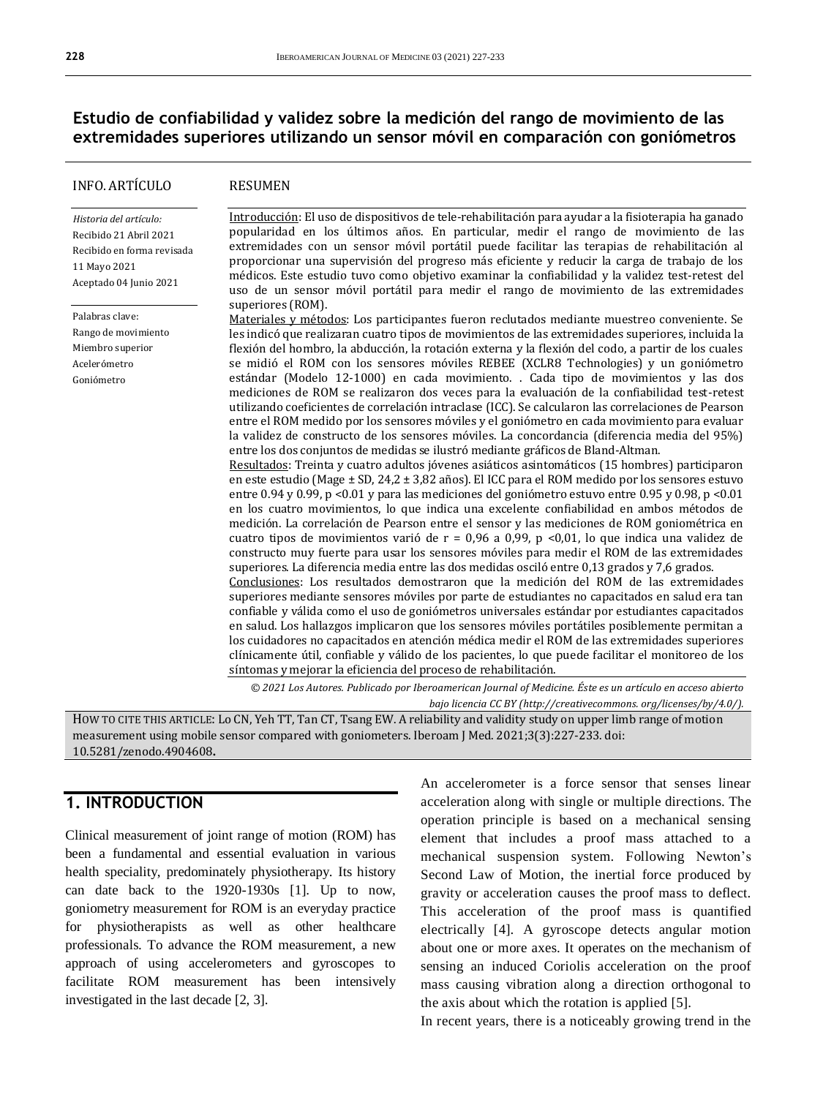## **Estudio de confiabilidad y validez sobre la medición del rango de movimiento de las extremidades superiores utilizando un sensor móvil en comparación con goniómetros**

### INFO. ARTÍCULO

#### RESUMEN

*Historia del artículo:*  Recibido 21 Abril 2021 Recibido en forma revisada 11 Mayo 2021 Aceptado 04 Junio 2021

Palabras clave: Rango de movimiento Miembro superior Acelerómetro Goniómetro

Introducción: El uso de dispositivos de tele-rehabilitación para ayudar a la fisioterapia ha ganado popularidad en los últimos años. En particular, medir el rango de movimiento de las extremidades con un sensor móvil portátil puede facilitar las terapias de rehabilitación al proporcionar una supervisión del progreso más eficiente y reducir la carga de trabajo de los médicos. Este estudio tuvo como objetivo examinar la confiabilidad y la validez test-retest del uso de un sensor móvil portátil para medir el rango de movimiento de las extremidades superiores (ROM).

Materiales y métodos: Los participantes fueron reclutados mediante muestreo conveniente. Se les indicó que realizaran cuatro tipos de movimientos de las extremidades superiores, incluida la flexión del hombro, la abducción, la rotación externa y la flexión del codo, a partir de los cuales se midió el ROM con los sensores móviles REBEE (XCLR8 Technologies) y un goniómetro estándar (Modelo 12-1000) en cada movimiento. . Cada tipo de movimientos y las dos mediciones de ROM se realizaron dos veces para la evaluación de la confiabilidad test-retest utilizando coeficientes de correlación intraclase (ICC). Se calcularon las correlaciones de Pearson entre el ROM medido por los sensores móviles y el goniómetro en cada movimiento para evaluar la validez de constructo de los sensores móviles. La concordancia (diferencia media del 95%) entre los dos conjuntos de medidas se ilustró mediante gráficos de Bland-Altman.

Resultados: Treinta y cuatro adultos jóvenes asiáticos asintomáticos (15 hombres) participaron en este estudio (Mage ± SD, 24,2 ± 3,82 años). El ICC para el ROM medido por los sensores estuvo entre 0.94 y 0.99, p <0.01 y para las mediciones del goniómetro estuvo entre 0.95 y 0.98, p <0.01 en los cuatro movimientos, lo que indica una excelente confiabilidad en ambos métodos de medición. La correlación de Pearson entre el sensor y las mediciones de ROM goniométrica en cuatro tipos de movimientos varió de r = 0,96 a 0,99, p <0,01, lo que indica una validez de constructo muy fuerte para usar los sensores móviles para medir el ROM de las extremidades superiores. La diferencia media entre las dos medidas osciló entre 0,13 grados y 7,6 grados. Conclusiones: Los resultados demostraron que la medición del ROM de las extremidades

superiores mediante sensores móviles por parte de estudiantes no capacitados en salud era tan confiable y válida como el uso de goniómetros universales estándar por estudiantes capacitados en salud. Los hallazgos implicaron que los sensores móviles portátiles posiblemente permitan a los cuidadores no capacitados en atención médica medir el ROM de las extremidades superiores clínicamente útil, confiable y válido de los pacientes, lo que puede facilitar el monitoreo de los síntomas y mejorar la eficiencia del proceso de rehabilitación.

*© 2021 Los Autores. Publicado por Iberoamerican Journal of Medicine. Éste es un artículo en acceso abierto bajo licencia CC BY (http:/[/creativecommons. org/licenses/by/4.0/\)](https://creativecommons.org/licenses/by/4.0/).*

HOW TO CITE THIS ARTICLE: Lo CN, Yeh TT, Tan CT, Tsang EW. A reliability and validity study on upper limb range of motion measurement using mobile sensor compared with goniometers. Iberoam J Med. 2021;3(3):227-233. doi: [10.5281/zenodo.4904608](http://doi.org/10.5281/zenodo.4904608)**.**

## **1. INTRODUCTION**

Clinical measurement of joint range of motion (ROM) has been a fundamental and essential evaluation in various health speciality, predominately physiotherapy. Its history can date back to the 1920-1930s [1]. Up to now, goniometry measurement for ROM is an everyday practice for physiotherapists as well as other healthcare professionals. To advance the ROM measurement, a new approach of using accelerometers and gyroscopes to facilitate ROM measurement has been intensively investigated in the last decade [2, 3].

An accelerometer is a force sensor that senses linear acceleration along with single or multiple directions. The operation principle is based on a mechanical sensing element that includes a proof mass attached to a mechanical suspension system. Following Newton's Second Law of Motion, the inertial force produced by gravity or acceleration causes the proof mass to deflect. This acceleration of the proof mass is quantified electrically [4]. A gyroscope detects angular motion about one or more axes. It operates on the mechanism of sensing an induced Coriolis acceleration on the proof mass causing vibration along a direction orthogonal to the axis about which the rotation is applied [5].

In recent years, there is a noticeably growing trend in the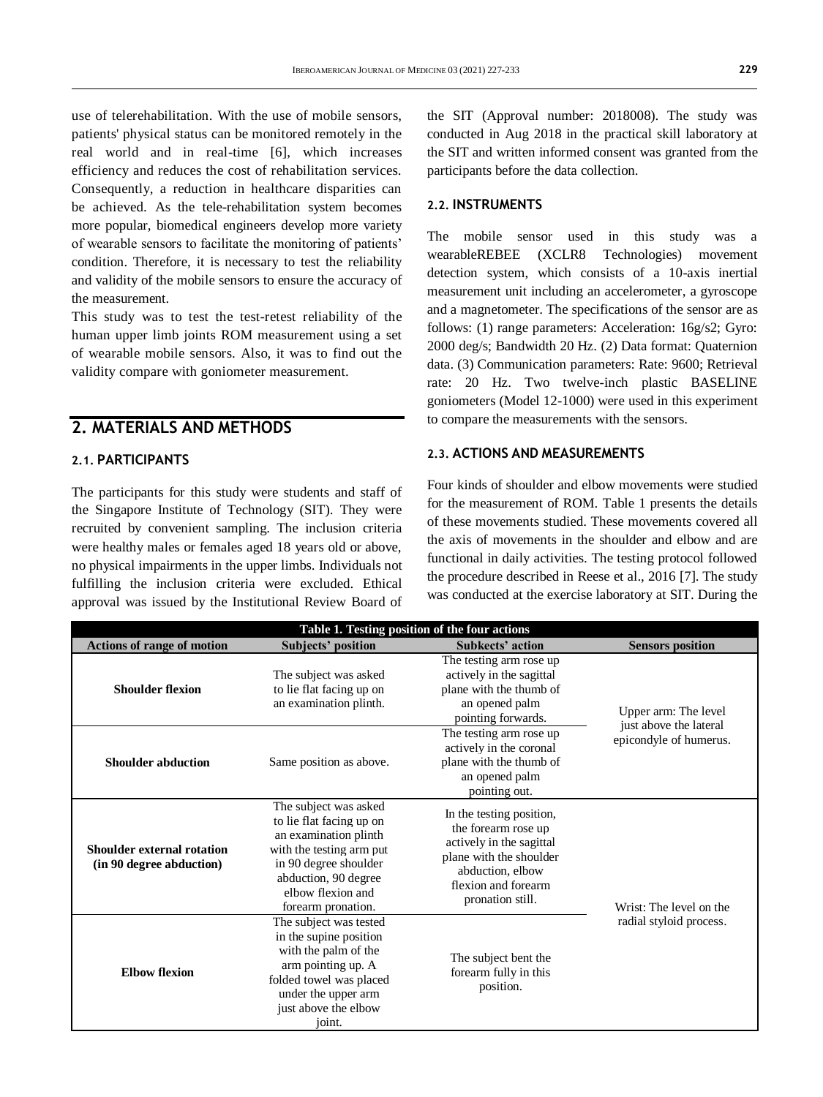use of telerehabilitation. With the use of mobile sensors, patients' physical status can be monitored remotely in the real world and in real-time [6], which increases efficiency and reduces the cost of rehabilitation services. Consequently, a reduction in healthcare disparities can be achieved. As the tele-rehabilitation system becomes more popular, biomedical engineers develop more variety of wearable sensors to facilitate the monitoring of patients' condition. Therefore, it is necessary to test the reliability and validity of the mobile sensors to ensure the accuracy of the measurement.

This study was to test the test-retest reliability of the human upper limb joints ROM measurement using a set of wearable mobile sensors. Also, it was to find out the validity compare with goniometer measurement.

### **2. MATERIALS AND METHODS**

### **2.1. PARTICIPANTS**

The participants for this study were students and staff of the Singapore Institute of Technology (SIT). They were recruited by convenient sampling. The inclusion criteria were healthy males or females aged 18 years old or above, no physical impairments in the upper limbs. Individuals not fulfilling the inclusion criteria were excluded. Ethical approval was issued by the Institutional Review Board of

the SIT (Approval number: 2018008). The study was conducted in Aug 2018 in the practical skill laboratory at the SIT and written informed consent was granted from the participants before the data collection.

### **2.2. INSTRUMENTS**

The mobile sensor used in this study was a wearableREBEE (XCLR8 Technologies) movement detection system, which consists of a 10-axis inertial measurement unit including an accelerometer, a gyroscope and a magnetometer. The specifications of the sensor are as follows: (1) range parameters: Acceleration: 16g/s2; Gyro: 2000 deg/s; Bandwidth 20 Hz. (2) Data format: Quaternion data. (3) Communication parameters: Rate: 9600; Retrieval rate: 20 Hz. Two twelve-inch plastic BASELINE goniometers (Model 12-1000) were used in this experiment to compare the measurements with the sensors.

### **2.3. ACTIONS AND MEASUREMENTS**

Four kinds of shoulder and elbow movements were studied for the measurement of ROM. Table 1 presents the details of these movements studied. These movements covered all the axis of movements in the shoulder and elbow and are functional in daily activities. The testing protocol followed the procedure described in Reese et al., 2016 [7]. The study was conducted at the exercise laboratory at SIT. During the

| Table 1. Testing position of the four actions                 |                                                                                                                                                                                                    |                                                                                                                                                                       |                                                |  |  |  |  |  |  |
|---------------------------------------------------------------|----------------------------------------------------------------------------------------------------------------------------------------------------------------------------------------------------|-----------------------------------------------------------------------------------------------------------------------------------------------------------------------|------------------------------------------------|--|--|--|--|--|--|
| <b>Actions of range of motion</b>                             | <b>Subjects' position</b>                                                                                                                                                                          | Subkects' action                                                                                                                                                      | <b>Sensors position</b>                        |  |  |  |  |  |  |
| <b>Shoulder flexion</b>                                       | The subject was asked<br>to lie flat facing up on<br>an examination plinth.                                                                                                                        | The testing arm rose up<br>actively in the sagittal<br>plane with the thumb of<br>an opened palm<br>pointing forwards.                                                | Upper arm: The level<br>just above the lateral |  |  |  |  |  |  |
| <b>Shoulder abduction</b>                                     | Same position as above.                                                                                                                                                                            | The testing arm rose up<br>actively in the coronal<br>plane with the thumb of<br>an opened palm<br>pointing out.                                                      | epicondyle of humerus.                         |  |  |  |  |  |  |
| <b>Shoulder external rotation</b><br>(in 90 degree abduction) | The subject was asked<br>to lie flat facing up on<br>an examination plinth<br>with the testing arm put<br>in 90 degree shoulder<br>abduction, 90 degree<br>elbow flexion and<br>forearm pronation. | In the testing position,<br>the forearm rose up<br>actively in the sagittal<br>plane with the shoulder<br>abduction, elbow<br>flexion and forearm<br>pronation still. | Wrist: The level on the                        |  |  |  |  |  |  |
| <b>Elbow flexion</b>                                          | The subject was tested<br>in the supine position<br>with the palm of the<br>arm pointing up. A<br>folded towel was placed<br>under the upper arm<br>just above the elbow<br>joint.                 | The subject bent the<br>forearm fully in this<br>position.                                                                                                            | radial styloid process.                        |  |  |  |  |  |  |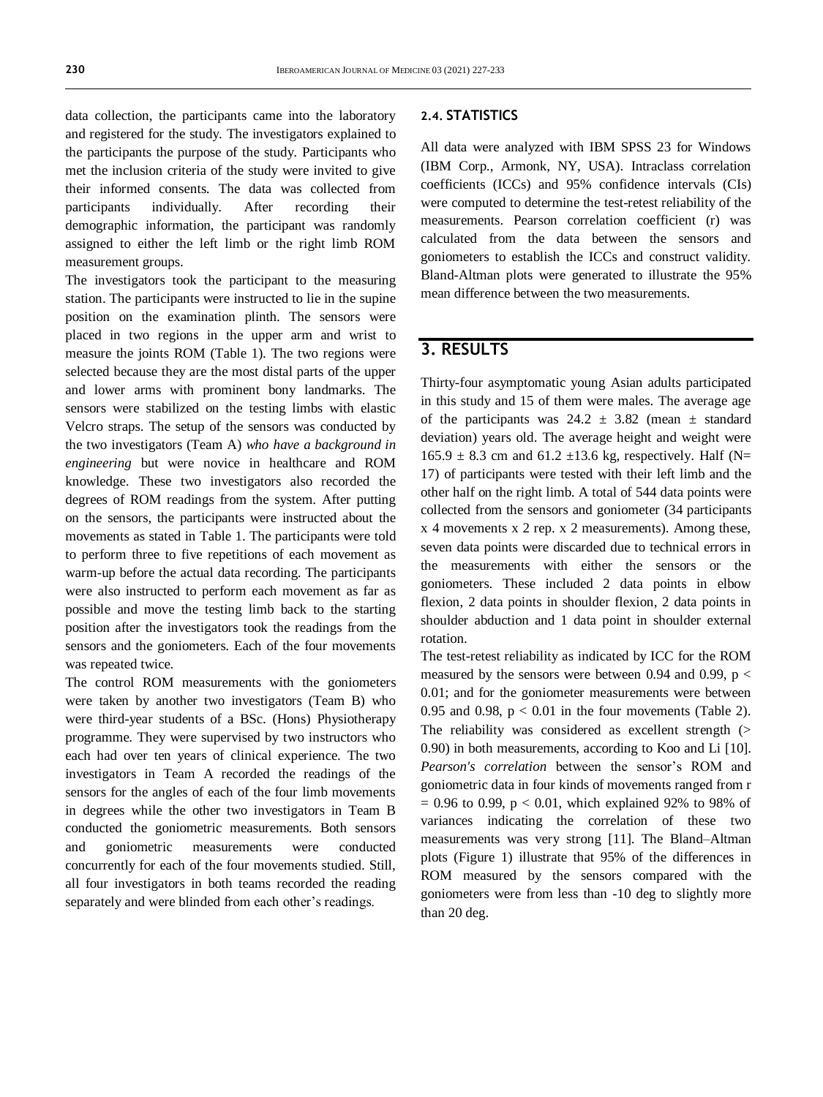data collection, the participants came into the laboratory and registered for the study. The investigators explained to the participants the purpose of the study. Participants who met the inclusion criteria of the study were invited to give their informed consents. The data was collected from participants individually. After recording their demographic information, the participant was randomly assigned to either the left limb or the right limb ROM measurement groups.

The investigators took the participant to the measuring station. The participants were instructed to lie in the supine position on the examination plinth. The sensors were placed in two regions in the upper arm and wrist to measure the joints ROM (Table 1). The two regions were selected because they are the most distal parts of the upper and lower arms with prominent bony landmarks. The sensors were stabilized on the testing limbs with elastic Velcro straps. The setup of the sensors was conducted by the two investigators (Team A) *who have a background in engineering* but were novice in healthcare and ROM knowledge. These two investigators also recorded the degrees of ROM readings from the system. After putting on the sensors, the participants were instructed about the movements as stated in Table 1. The participants were told to perform three to five repetitions of each movement as warm-up before the actual data recording. The participants were also instructed to perform each movement as far as possible and move the testing limb back to the starting position after the investigators took the readings from the sensors and the goniometers. Each of the four movements was repeated twice.

The control ROM measurements with the goniometers were taken by another two investigators (Team B) who were third-year students of a BSc. (Hons) Physiotherapy programme. They were supervised by two instructors who each had over ten years of clinical experience. The two investigators in Team A recorded the readings of the sensors for the angles of each of the four limb movements in degrees while the other two investigators in Team B conducted the goniometric measurements. Both sensors and goniometric measurements were conducted concurrently for each of the four movements studied. Still, all four investigators in both teams recorded the reading separately and were blinded from each other's readings.

### **2.4. STATISTICS**

All data were analyzed with IBM SPSS 23 for Windows (IBM Corp., Armonk, NY, USA). Intraclass correlation coefficients (ICCs) and 95% confidence intervals (CIs) were computed to determine the test-retest reliability of the measurements. Pearson correlation coefficient (r) was calculated from the data between the sensors and goniometers to establish the ICCs and construct validity. Bland-Altman plots were generated to illustrate the 95% mean difference between the two measurements.

## **3. RESULTS**

Thirty-four asymptomatic young Asian adults participated in this study and 15 of them were males. The average age of the participants was  $24.2 \pm 3.82$  (mean  $\pm$  standard deviation) years old. The average height and weight were  $165.9 \pm 8.3$  cm and  $61.2 \pm 13.6$  kg, respectively. Half (N= 17) of participants were tested with their left limb and the other half on the right limb. A total of 544 data points were collected from the sensors and goniometer (34 participants x 4 movements x 2 rep. x 2 measurements). Among these, seven data points were discarded due to technical errors in the measurements with either the sensors or the goniometers. These included 2 data points in elbow flexion, 2 data points in shoulder flexion, 2 data points in shoulder abduction and 1 data point in shoulder external rotation.

The test-retest reliability as indicated by ICC for the ROM measured by the sensors were between 0.94 and 0.99,  $p <$ 0.01; and for the goniometer measurements were between 0.95 and 0.98,  $p < 0.01$  in the four movements (Table 2). The reliability was considered as excellent strength (> 0.90) in both measurements, according to Koo and Li [10]. *Pearson's correlation* between the sensor's ROM and goniometric data in four kinds of movements ranged from r  $= 0.96$  to 0.99, p < 0.01, which explained 92% to 98% of variances indicating the correlation of these two measurements was very strong [11]. The Bland–Altman plots (Figure 1) illustrate that 95% of the differences in ROM measured by the sensors compared with the goniometers were from less than -10 deg to slightly more than 20 deg.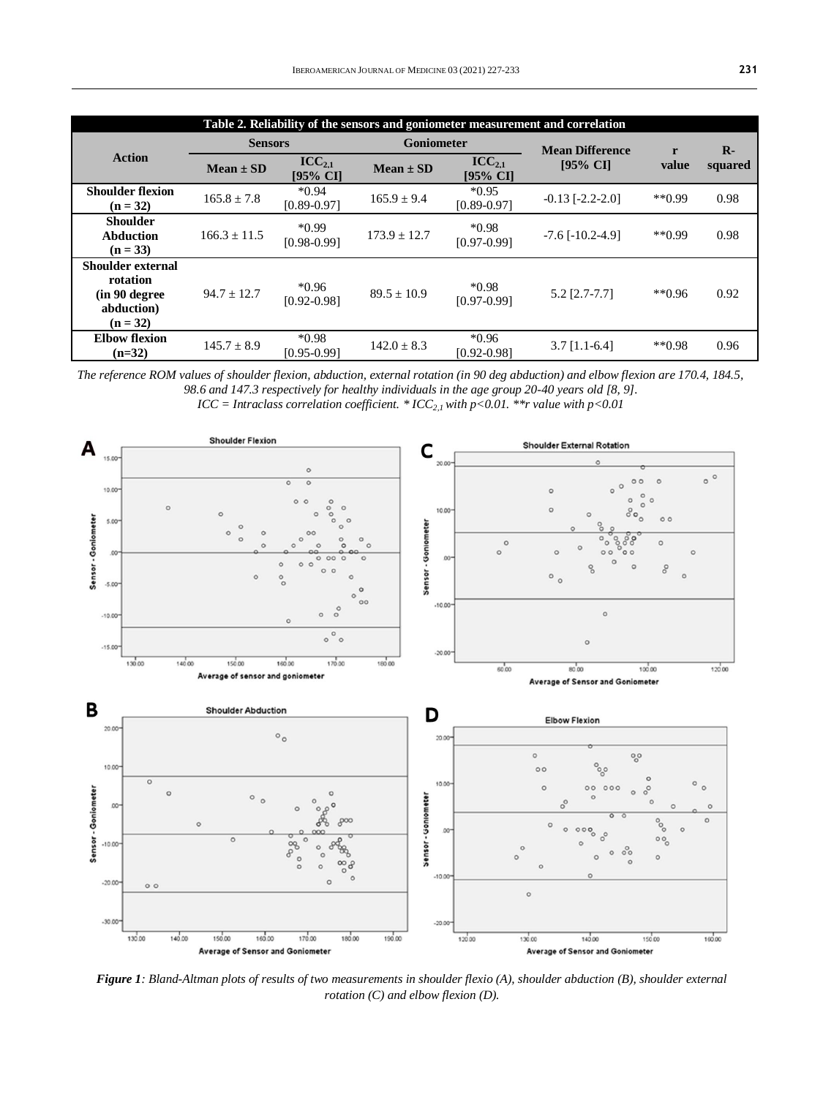| Table 2. Reliability of the sensors and goniometer measurement and correlation |                 |                                  |                  |                                |                        |              |         |  |  |  |
|--------------------------------------------------------------------------------|-----------------|----------------------------------|------------------|--------------------------------|------------------------|--------------|---------|--|--|--|
| <b>Action</b>                                                                  | <b>Sensors</b>  |                                  | Goniometer       |                                | <b>Mean Difference</b> | r            | $R -$   |  |  |  |
|                                                                                | $Mean \pm SD$   | $\text{ICC}_{2.1}$<br>$[95%$ CI] | $Mean \pm SD$    | $\text{ICC}_{2.1}$<br>[95% CI] | $195%$ CI              | value        | squared |  |  |  |
| <b>Shoulder flexion</b><br>$(n = 32)$                                          | $165.8 \pm 7.8$ | $*0.94$<br>$[0.89 - 0.97]$       | $165.9 \pm 9.4$  | $*0.95$<br>$[0.89 - 0.97]$     | $-0.13$ $[-2.2-2.0]$   | $**0.99$     | 0.98    |  |  |  |
| <b>Shoulder</b><br><b>Abduction</b><br>$(n = 33)$                              | $166.3 + 11.5$  | $*0.99$<br>$[0.98 - 0.99]$       | $173.9 \pm 12.7$ | $*0.98$<br>$[0.97 - 0.99]$     | $-7.6$ [ $-10.2-4.9$ ] | $*$ $(0.99)$ | 0.98    |  |  |  |
| Shoulder external<br>rotation<br>(in 90 degree)<br>abduction)<br>$(n = 32)$    | $94.7 \pm 12.7$ | $*0.96$<br>$[0.92 - 0.98]$       | $89.5 \pm 10.9$  | $*0.98$<br>$[0.97 - 0.99]$     | $5.2$ [2.7-7.7]        | $*$ $(0.96)$ | 0.92    |  |  |  |
| <b>Elbow flexion</b><br>$(n=32)$                                               | $145.7 \pm 8.9$ | $*0.98$<br>$[0.95 - 0.99]$       | $142.0 \pm 8.3$  | $*0.96$<br>$[0.92 - 0.98]$     | $3.7$ [1.1-6.4]        | $*$ $(0.98)$ | 0.96    |  |  |  |

*The reference ROM values of shoulder flexion, abduction, external rotation (in 90 deg abduction) and elbow flexion are 170.4, 184.5, 98.6 and 147.3 respectively for healthy individuals in the age group 20-40 years old [8, 9].*

*ICC = Intraclass correlation coefficient.* \*  $ICC_{2,1}$  *with p*<0.01. \*\**r value with p*<0.01



*Figure 1: Bland-Altman plots of results of two measurements in shoulder flexio (A), shoulder abduction (B), shoulder external rotation (C) and elbow flexion (D).*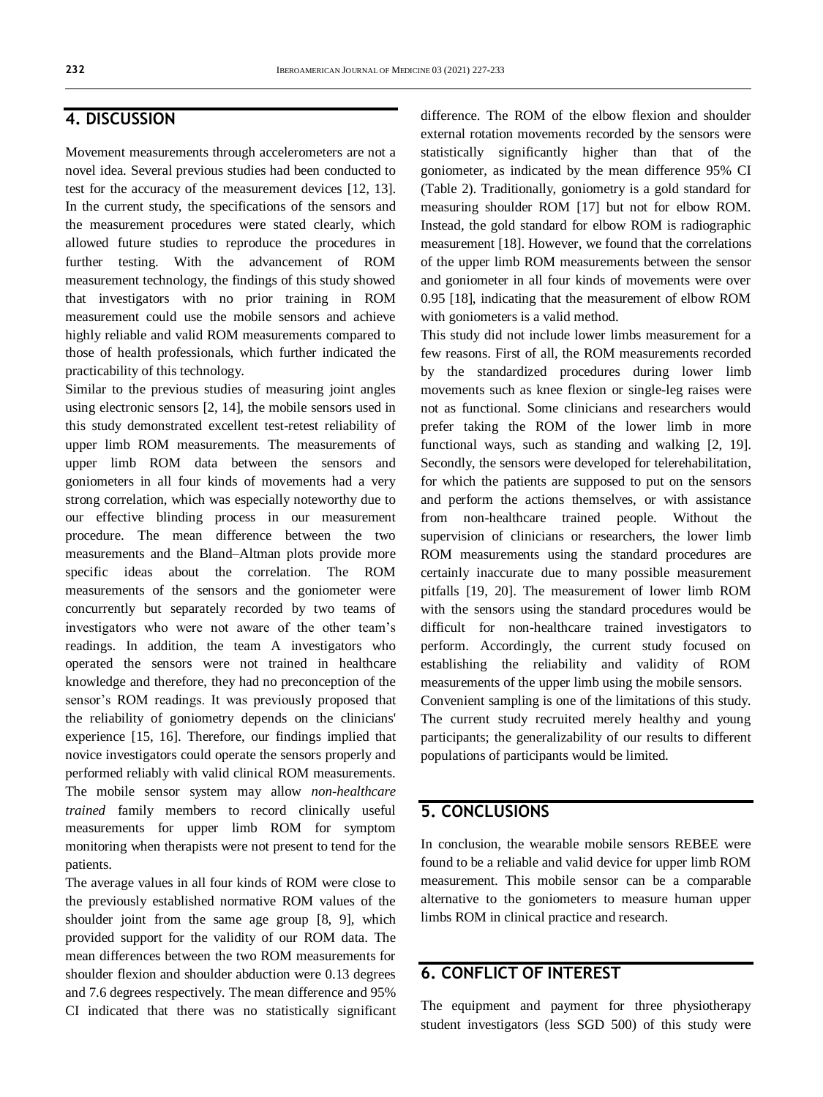### **4. DISCUSSION**

Movement measurements through accelerometers are not a novel idea. Several previous studies had been conducted to test for the accuracy of the measurement devices [12, 13]. In the current study, the specifications of the sensors and the measurement procedures were stated clearly, which allowed future studies to reproduce the procedures in further testing. With the advancement of ROM measurement technology, the findings of this study showed that investigators with no prior training in ROM measurement could use the mobile sensors and achieve highly reliable and valid ROM measurements compared to those of health professionals, which further indicated the practicability of this technology.

Similar to the previous studies of measuring joint angles using electronic sensors [2, 14], the mobile sensors used in this study demonstrated excellent test-retest reliability of upper limb ROM measurements. The measurements of upper limb ROM data between the sensors and goniometers in all four kinds of movements had a very strong correlation, which was especially noteworthy due to our effective blinding process in our measurement procedure. The mean difference between the two measurements and the Bland–Altman plots provide more specific ideas about the correlation. The ROM measurements of the sensors and the goniometer were concurrently but separately recorded by two teams of investigators who were not aware of the other team's readings. In addition, the team A investigators who operated the sensors were not trained in healthcare knowledge and therefore, they had no preconception of the sensor's ROM readings. It was previously proposed that the reliability of goniometry depends on the clinicians' experience [15, 16]. Therefore, our findings implied that novice investigators could operate the sensors properly and performed reliably with valid clinical ROM measurements. The mobile sensor system may allow *non-healthcare trained* family members to record clinically useful measurements for upper limb ROM for symptom monitoring when therapists were not present to tend for the patients.

The average values in all four kinds of ROM were close to the previously established normative ROM values of the shoulder joint from the same age group [8, 9], which provided support for the validity of our ROM data. The mean differences between the two ROM measurements for shoulder flexion and shoulder abduction were 0.13 degrees and 7.6 degrees respectively. The mean difference and 95% CI indicated that there was no statistically significant difference. The ROM of the elbow flexion and shoulder external rotation movements recorded by the sensors were statistically significantly higher than that of the goniometer, as indicated by the mean difference 95% CI (Table 2). Traditionally, goniometry is a gold standard for measuring shoulder ROM [17] but not for elbow ROM. Instead, the gold standard for elbow ROM is radiographic measurement [18]. However, we found that the correlations of the upper limb ROM measurements between the sensor and goniometer in all four kinds of movements were over 0.95 [18], indicating that the measurement of elbow ROM with goniometers is a valid method.

This study did not include lower limbs measurement for a few reasons. First of all, the ROM measurements recorded by the standardized procedures during lower limb movements such as knee flexion or single-leg raises were not as functional. Some clinicians and researchers would prefer taking the ROM of the lower limb in more functional ways, such as standing and walking [2, 19]. Secondly, the sensors were developed for telerehabilitation, for which the patients are supposed to put on the sensors and perform the actions themselves, or with assistance from non-healthcare trained people. Without the supervision of clinicians or researchers, the lower limb ROM measurements using the standard procedures are certainly inaccurate due to many possible measurement pitfalls [19, 20]. The measurement of lower limb ROM with the sensors using the standard procedures would be difficult for non-healthcare trained investigators to perform. Accordingly, the current study focused on establishing the reliability and validity of ROM measurements of the upper limb using the mobile sensors. Convenient sampling is one of the limitations of this study. The current study recruited merely healthy and young

participants; the generalizability of our results to different populations of participants would be limited.

## **5. CONCLUSIONS**

In conclusion, the wearable mobile sensors REBEE were found to be a reliable and valid device for upper limb ROM measurement. This mobile sensor can be a comparable alternative to the goniometers to measure human upper limbs ROM in clinical practice and research.

## **6. CONFLICT OF INTEREST**

The equipment and payment for three physiotherapy student investigators (less SGD 500) of this study were